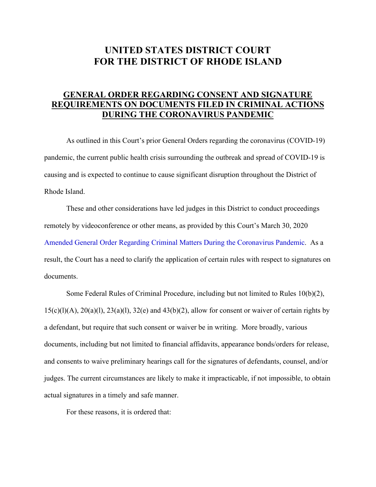## **UNITED STATES DISTRICT COURT FOR THE DISTRICT OF RHODE ISLAND**

## **GENERAL ORDER REGARDING CONSENT AND SIGNATURE REQUIREMENTS ON DOCUMENTS FILED IN CRIMINAL ACTIONS DURING THE CORONAVIRUS PANDEMIC**

As outlined in this Court's prior General Orders regarding the coronavirus (COVID-19) pandemic, the current public health crisis surrounding the outbreak and spread of COVID-19 is causing and is expected to continue to cause significant disruption throughout the District of Rhode Island.

These and other considerations have led judges in this District to conduct proceedings remotely by videoconference or other means, as provided by this Court's March 30, 2020 Amended General Order [Regarding Criminal Matters During the Coronavirus Pandemic.](https://www.rid.uscourts.gov/sites/rid/files/documents/generalorders/Criminal%20General%20Order%203%20-%20Pandemic.pdf) As a result, the Court has a need to clarify the application of certain rules with respect to signatures on documents.

Some Federal Rules of Criminal Procedure, including but not limited to Rules 10(b)(2),  $15(c)(l)(A)$ ,  $20(a)(l)$ ,  $23(a)(l)$ ,  $32(e)$  and  $43(b)(2)$ , allow for consent or waiver of certain rights by a defendant, but require that such consent or waiver be in writing. More broadly, various documents, including but not limited to financial affidavits, appearance bonds/orders for release, and consents to waive preliminary hearings call for the signatures of defendants, counsel, and/or judges. The current circumstances are likely to make it impracticable, if not impossible, to obtain actual signatures in a timely and safe manner.

For these reasons, it is ordered that: